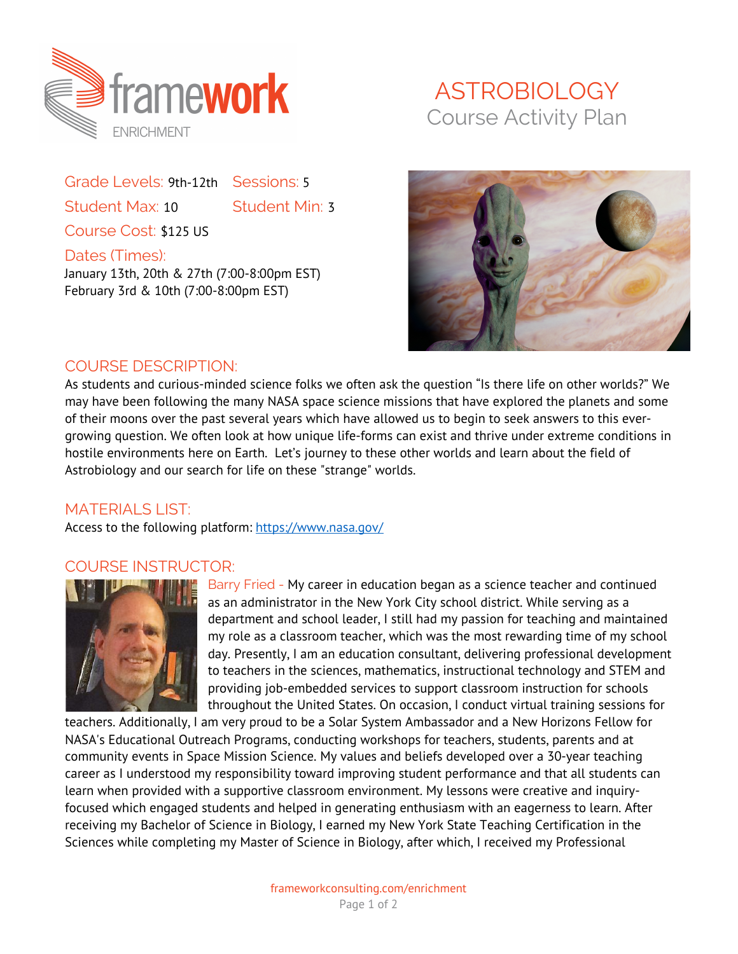

Grade Levels: 9th-12th Sessions: 5 Student Max: 10 Student Min: 3 Course Cost: \$125 US

Dates (Times): January 13th, 20th & 27th (7:00-8:00pm EST) February 3rd & 10th (7:00-8:00pm EST)

## ASTROBIOLOGY Course Activity Plan



## COURSE DESCRIPTION:

As students and curious-minded science folks we often ask the question "Is there life on other worlds?" We may have been following the many NASA space science missions that have explored the planets and some of their moons over the past several years which have allowed us to begin to seek answers to this evergrowing question. We often look at how unique life-forms can exist and thrive under extreme conditions in hostile environments here on Earth. Let's journey to these other worlds and learn about the field of Astrobiology and our search for life on these "strange" worlds.

## MATERIALS LIST:

Access to the following platform: https://www.nasa.gov/

## COURSE INSTRUCTOR:



Barry Fried - My career in education began as a science teacher and continued as an administrator in the New York City school district. While serving as a department and school leader, I still had my passion for teaching and maintained my role as a classroom teacher, which was the most rewarding time of my school day. Presently, I am an education consultant, delivering professional development to teachers in the sciences, mathematics, instructional technology and STEM and providing job-embedded services to support classroom instruction for schools throughout the United States. On occasion, I conduct virtual training sessions for

teachers. Additionally, I am very proud to be a Solar System Ambassador and a New Horizons Fellow for NASA's Educational Outreach Programs, conducting workshops for teachers, students, parents and at community events in Space Mission Science. My values and beliefs developed over a 30-year teaching career as I understood my responsibility toward improving student performance and that all students can learn when provided with a supportive classroom environment. My lessons were creative and inquiryfocused which engaged students and helped in generating enthusiasm with an eagerness to learn. After receiving my Bachelor of Science in Biology, I earned my New York State Teaching Certification in the Sciences while completing my Master of Science in Biology, after which, I received my Professional